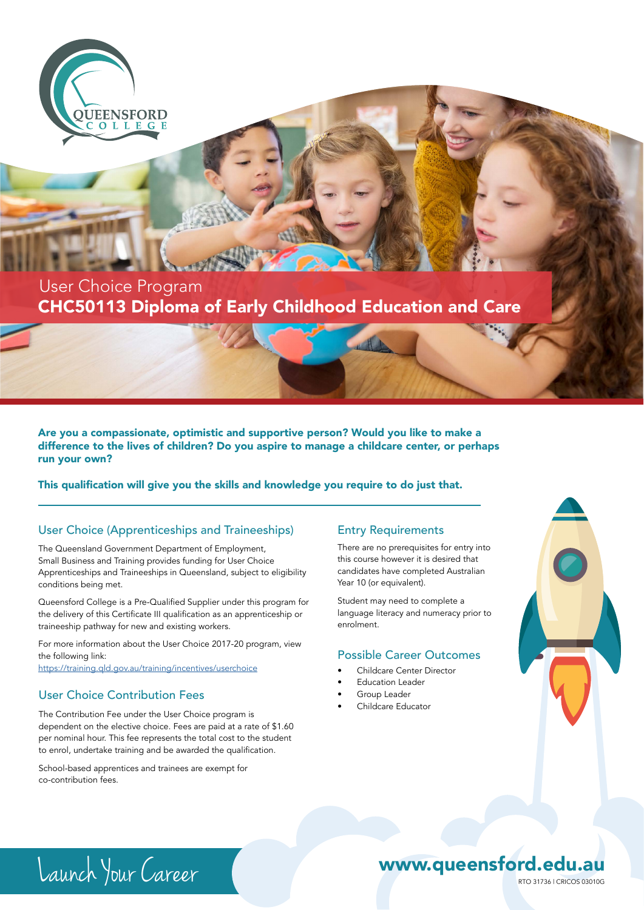

## CHC50113 Diploma of Early Childhood Education and Care User Choice Program

Are you a compassionate, optimistic and supportive person? Would you like to make a difference to the lives of children? Do you aspire to manage a childcare center, or perhaps run your own?

This qualification will give you the skills and knowledge you require to do just that.

### User Choice (Apprenticeships and Traineeships)

The Queensland Government Department of Employment, Small Business and Training provides funding for User Choice Apprenticeships and Traineeships in Queensland, subject to eligibility conditions being met.

Queensford College is a Pre-Qualified Supplier under this program for the delivery of this Certificate III qualification as an apprenticeship or traineeship pathway for new and existing workers.

For more information about the User Choice 2017-20 program, view the following link: https://training.qld.gov.au/training/incentives/userchoice

### User Choice Contribution Fees

The Contribution Fee under the User Choice program is dependent on the elective choice. Fees are paid at a rate of \$1.60 per nominal hour. This fee represents the total cost to the student to enrol, undertake training and be awarded the qualification.

School-based apprentices and trainees are exempt for co-contribution fees.

#### Entry Requirements

There are no prerequisites for entry into this course however it is desired that candidates have completed Australian Year 10 (or equivalent).

Student may need to complete a language literacy and numeracy prior to enrolment.

#### Possible Career Outcomes

- Childcare Center Director
- Education Leader
- Group Leader
- Childcare Educator



# Launch Your Career RTO 31736 | CRICOS 03010G